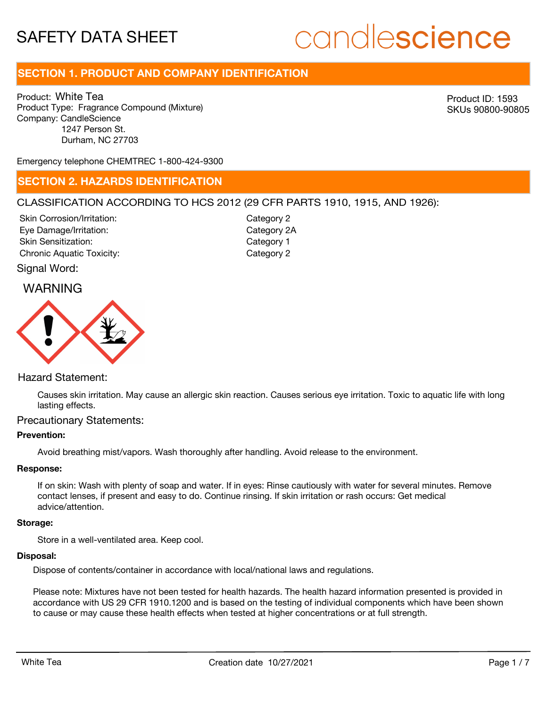# candlescience

# **SECTION 1. PRODUCT AND COMPANY IDENTIFICATION**

Product: White Tea Product Type: Fragrance Compound (Mixture) Company: CandleScience 1247 Person St. Durham, NC 27703

Product ID: 1593 SKUs 90800-90805

Emergency telephone CHEMTREC 1-800-424-9300

### **SECTION 2. HAZARDS IDENTIFICATION**

#### CLASSIFICATION ACCORDING TO HCS 2012 (29 CFR PARTS 1910, 1915, AND 1926):

Skin Corrosion/Irritation: Eye Damage/Irritation: Skin Sensitization: Chronic Aquatic Toxicity: Chronic Aquatic Toxicity:

Category 2 Category 2A Category 1

Signal Word:

## WARNING



#### Hazard Statement:

Causes skin irritation. May cause an allergic skin reaction. Causes serious eye irritation. Toxic to aquatic life with long lasting effects.

#### Precautionary Statements:

#### **Prevention:**

Avoid breathing mist/vapors. Wash thoroughly after handling. Avoid release to the environment.

#### **Response:**

If on skin: Wash with plenty of soap and water. If in eyes: Rinse cautiously with water for several minutes. Remove contact lenses, if present and easy to do. Continue rinsing. If skin irritation or rash occurs: Get medical advice/attention.

#### **Storage:**

Store in a well-ventilated area. Keep cool.

#### **Disposal:**

Dispose of contents/container in accordance with local/national laws and regulations.

Please note: Mixtures have not been tested for health hazards. The health hazard information presented is provided in accordance with US 29 CFR 1910.1200 and is based on the testing of individual components which have been shown to cause or may cause these health effects when tested at higher concentrations or at full strength.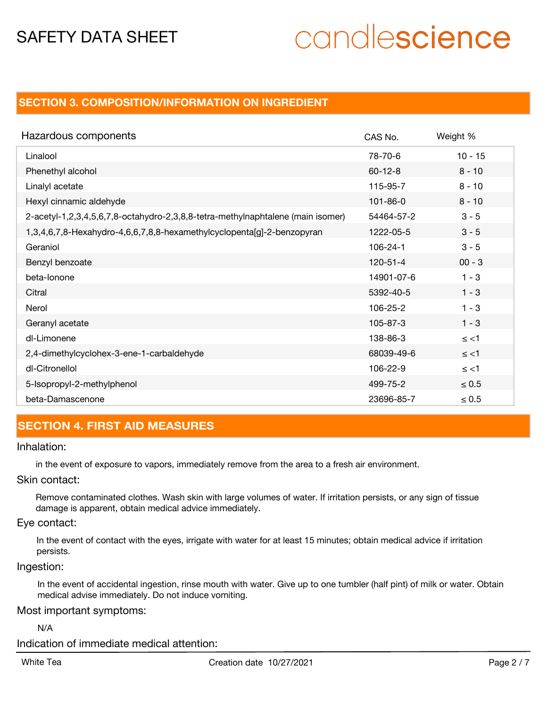# candlescience

## **SECTION 3. COMPOSITION/INFORMATION ON INGREDIENT**

| Hazardous components                                                            | CAS No.        | Weight %   |
|---------------------------------------------------------------------------------|----------------|------------|
| Linalool                                                                        | 78-70-6        | $10 - 15$  |
| Phenethyl alcohol                                                               | $60 - 12 - 8$  | $8 - 10$   |
| Linalyl acetate                                                                 | 115-95-7       | $8 - 10$   |
| Hexyl cinnamic aldehyde                                                         | $101 - 86 - 0$ | $8 - 10$   |
| 2-acetyl-1,2,3,4,5,6,7,8-octahydro-2,3,8,8-tetra-methylnaphtalene (main isomer) | 54464-57-2     | $3 - 5$    |
| 1,3,4,6,7,8-Hexahydro-4,6,6,7,8,8-hexamethylcyclopenta[g]-2-benzopyran          | 1222-05-5      | $3 - 5$    |
| Geraniol                                                                        | 106-24-1       | $3 - 5$    |
| Benzyl benzoate                                                                 | $120 - 51 - 4$ | $00 - 3$   |
| beta-lonone                                                                     | 14901-07-6     | $1 - 3$    |
| Citral                                                                          | 5392-40-5      | $1 - 3$    |
| Nerol                                                                           | 106-25-2       | $1 - 3$    |
| Geranyl acetate                                                                 | 105-87-3       | $1 - 3$    |
| dl-Limonene                                                                     | 138-86-3       | $\le$ <1   |
| 2,4-dimethylcyclohex-3-ene-1-carbaldehyde                                       | 68039-49-6     | $\le$ <1   |
| dl-Citronellol                                                                  | 106-22-9       | $\le$ <1   |
| 5-Isopropyl-2-methylphenol                                                      | 499-75-2       | $\leq 0.5$ |
| beta-Damascenone                                                                | 23696-85-7     | $\leq 0.5$ |

# **SECTION 4. FIRST AID MEASURES**

#### Inhalation:

in the event of exposure to vapors, immediately remove from the area to a fresh air environment.

#### Skin contact:

Remove contaminated clothes. Wash skin with large volumes of water. If irritation persists, or any sign of tissue damage is apparent, obtain medical advice immediately.

#### Eye contact:

In the event of contact with the eyes, irrigate with water for at least 15 minutes; obtain medical advice if irritation persists.

#### Ingestion:

In the event of accidental ingestion, rinse mouth with water. Give up to one tumbler (half pint) of milk or water. Obtain medical advise immediately. Do not induce vomiting.

#### Most important symptoms:

N/A

Indication of immediate medical attention: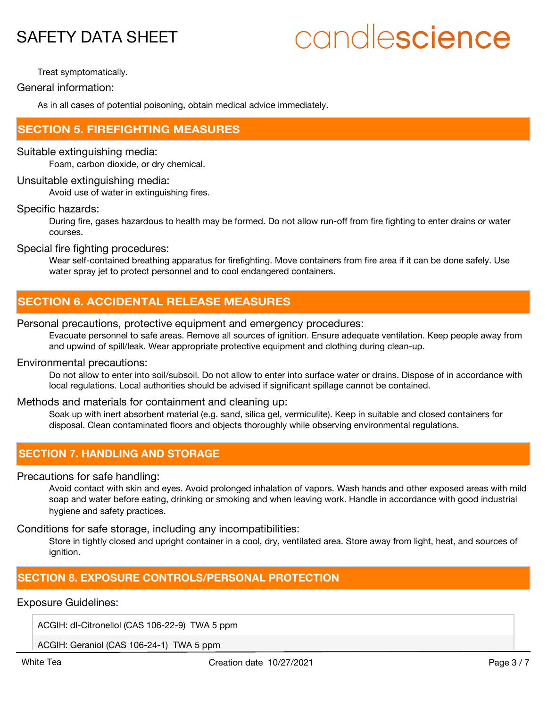# candlescience

Treat symptomatically.

General information:

As in all cases of potential poisoning, obtain medical advice immediately.

### **SECTION 5. FIREFIGHTING MEASURES**

#### Suitable extinguishing media:

Foam, carbon dioxide, or dry chemical.

#### Unsuitable extinguishing media:

Avoid use of water in extinguishing fires.

#### Specific hazards:

During fire, gases hazardous to health may be formed. Do not allow run-off from fire fighting to enter drains or water courses.

Special fire fighting procedures:

Wear self-contained breathing apparatus for firefighting. Move containers from fire area if it can be done safely. Use water spray jet to protect personnel and to cool endangered containers.

## **SECTION 6. ACCIDENTAL RELEASE MEASURES**

#### Personal precautions, protective equipment and emergency procedures:

Evacuate personnel to safe areas. Remove all sources of ignition. Ensure adequate ventilation. Keep people away from and upwind of spill/leak. Wear appropriate protective equipment and clothing during clean-up.

#### Environmental precautions:

Do not allow to enter into soil/subsoil. Do not allow to enter into surface water or drains. Dispose of in accordance with local regulations. Local authorities should be advised if significant spillage cannot be contained.

#### Methods and materials for containment and cleaning up:

Soak up with inert absorbent material (e.g. sand, silica gel, vermiculite). Keep in suitable and closed containers for disposal. Clean contaminated floors and objects thoroughly while observing environmental regulations.

## **SECTION 7. HANDLING AND STORAGE**

#### Precautions for safe handling:

Avoid contact with skin and eyes. Avoid prolonged inhalation of vapors. Wash hands and other exposed areas with mild soap and water before eating, drinking or smoking and when leaving work. Handle in accordance with good industrial hygiene and safety practices.

#### Conditions for safe storage, including any incompatibilities:

Store in tightly closed and upright container in a cool, dry, ventilated area. Store away from light, heat, and sources of ianition.

### **SECTION 8. EXPOSURE CONTROLS/PERSONAL PROTECTION**

#### Exposure Guidelines:

ACGIH: dl-Citronellol (CAS 106-22-9) TWA 5 ppm

ACGIH: Geraniol (CAS 106-24-1) TWA 5 ppm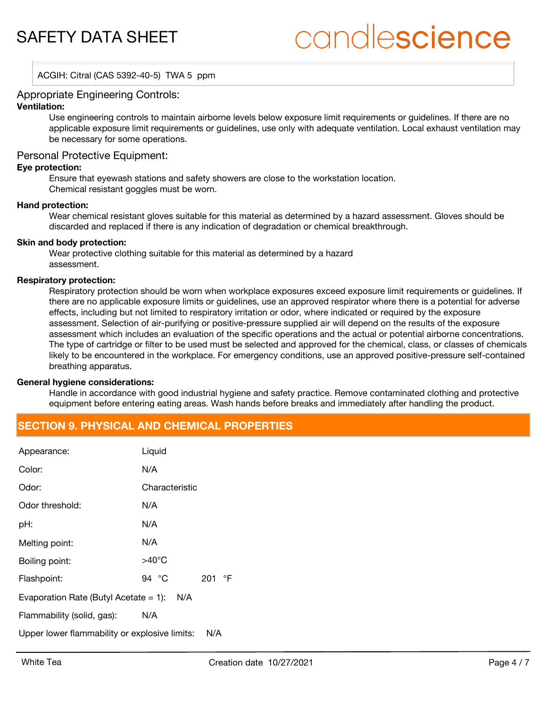# candlescience

ACGIH: Citral (CAS 5392-40-5) TWA 5 ppm

#### Appropriate Engineering Controls:

#### **Ventilation:**

Use engineering controls to maintain airborne levels below exposure limit requirements or guidelines. If there are no applicable exposure limit requirements or guidelines, use only with adequate ventilation. Local exhaust ventilation may be necessary for some operations.

#### Personal Protective Equipment:

#### **Eye protection:**

Ensure that eyewash stations and safety showers are close to the workstation location. Chemical resistant goggles must be worn.

#### **Hand protection:**

Wear chemical resistant gloves suitable for this material as determined by a hazard assessment. Gloves should be discarded and replaced if there is any indication of degradation or chemical breakthrough.

#### **Skin and body protection:**

Wear protective clothing suitable for this material as determined by a hazard assessment.

#### **Respiratory protection:**

Respiratory protection should be worn when workplace exposures exceed exposure limit requirements or guidelines. If there are no applicable exposure limits or guidelines, use an approved respirator where there is a potential for adverse effects, including but not limited to respiratory irritation or odor, where indicated or required by the exposure assessment. Selection of air-purifying or positive-pressure supplied air will depend on the results of the exposure assessment which includes an evaluation of the specific operations and the actual or potential airborne concentrations. The type of cartridge or filter to be used must be selected and approved for the chemical, class, or classes of chemicals likely to be encountered in the workplace. For emergency conditions, use an approved positive-pressure self-contained breathing apparatus.

#### **General hygiene considerations:**

Handle in accordance with good industrial hygiene and safety practice. Remove contaminated clothing and protective equipment before entering eating areas. Wash hands before breaks and immediately after handling the product.

### **SECTION 9. PHYSICAL AND CHEMICAL PROPERTIES**

| Appearance:                                     | Liquid          |     |           |  |
|-------------------------------------------------|-----------------|-----|-----------|--|
| Color:                                          | N/A             |     |           |  |
| Odor:                                           | Characteristic  |     |           |  |
| Odor threshold:                                 | N/A             |     |           |  |
| pH:                                             | N/A             |     |           |  |
| Melting point:                                  | N/A             |     |           |  |
| Boiling point:                                  | $>40^{\circ}$ C |     |           |  |
| Flashpoint:                                     | 94 $^{\circ}$ C | 201 | $\circ$ F |  |
| Evaporation Rate (Butyl Acetate $= 1$ ):<br>N/A |                 |     |           |  |
| Flammability (solid, gas):                      | N/A             |     |           |  |
| Upper lower flammability or explosive limits:   |                 | N/A |           |  |
|                                                 |                 |     |           |  |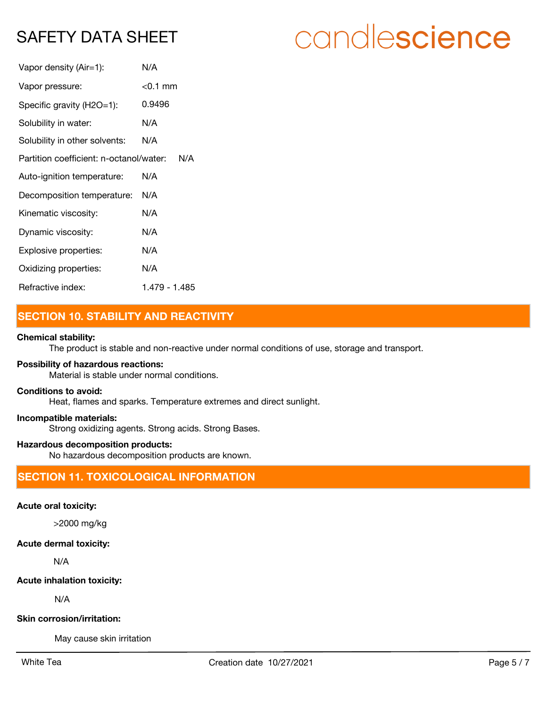| Vapor density (Air=1):                         | N/A           |  |
|------------------------------------------------|---------------|--|
| Vapor pressure:                                | $<$ 0.1 mm    |  |
| Specific gravity (H2O=1):                      | 0.9496        |  |
| Solubility in water:                           | N/A           |  |
| Solubility in other solvents:                  | N/A           |  |
| Partition coefficient: n-octanol/water:<br>N/A |               |  |
| Auto-ignition temperature:                     | N/A           |  |
| Decomposition temperature:                     | N/A           |  |
| Kinematic viscosity:                           | N/A           |  |
| Dynamic viscosity:                             | N/A           |  |
| Explosive properties:                          | N/A           |  |
| Oxidizing properties:                          | N/A           |  |
| Refractive index:                              | 1 479 - 1 485 |  |

# **SECTION 10. STABILITY AND REACTIVITY**

#### **Chemical stability:**

The product is stable and non-reactive under normal conditions of use, storage and transport.

#### **Possibility of hazardous reactions:**

Material is stable under normal conditions.

#### **Conditions to avoid:**

Heat, flames and sparks. Temperature extremes and direct sunlight.

#### **Incompatible materials:**

Strong oxidizing agents. Strong acids. Strong Bases.

#### **Hazardous decomposition products:**

No hazardous decomposition products are known.

# **SECTION 11. TOXICOLOGICAL INFORMATION**

#### **Acute oral toxicity:**

>2000 mg/kg

### **Acute dermal toxicity:**

N/A

### **Acute inhalation toxicity:**

N/A

### **Skin corrosion/irritation:**

May cause skin irritation

# candlescience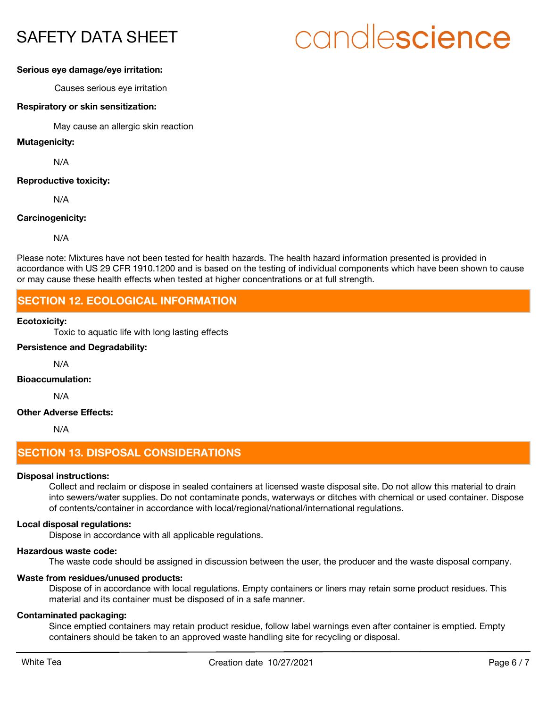# candlescience

#### **Serious eye damage/eye irritation:**

Causes serious eye irritation

#### **Respiratory or skin sensitization:**

May cause an allergic skin reaction

#### **Mutagenicity:**

N/A

#### **Reproductive toxicity:**

N/A

#### **Carcinogenicity:**

N/A

Please note: Mixtures have not been tested for health hazards. The health hazard information presented is provided in accordance with US 29 CFR 1910.1200 and is based on the testing of individual components which have been shown to cause or may cause these health effects when tested at higher concentrations or at full strength.

## **SECTION 12. ECOLOGICAL INFORMATION**

#### **Ecotoxicity:**

Toxic to aquatic life with long lasting effects

#### **Persistence and Degradability:**

N/A

#### **Bioaccumulation:**

N/A

#### **Other Adverse Effects:**

N/A

## **SECTION 13. DISPOSAL CONSIDERATIONS**

#### **Disposal instructions:**

Collect and reclaim or dispose in sealed containers at licensed waste disposal site. Do not allow this material to drain into sewers/water supplies. Do not contaminate ponds, waterways or ditches with chemical or used container. Dispose of contents/container in accordance with local/regional/national/international regulations.

#### **Local disposal regulations:**

Dispose in accordance with all applicable regulations.

#### **Hazardous waste code:**

The waste code should be assigned in discussion between the user, the producer and the waste disposal company.

#### **Waste from residues/unused products:**

Dispose of in accordance with local regulations. Empty containers or liners may retain some product residues. This material and its container must be disposed of in a safe manner.

#### **Contaminated packaging:**

Since emptied containers may retain product residue, follow label warnings even after container is emptied. Empty containers should be taken to an approved waste handling site for recycling or disposal.